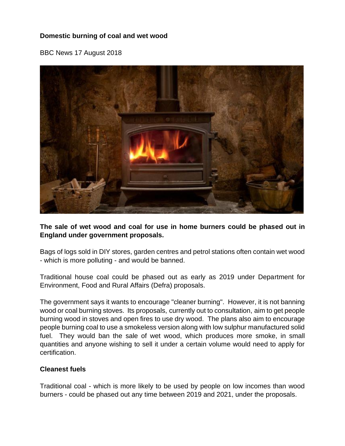## **Domestic burning of coal and wet wood**

BBC News 17 August 2018



**The sale of wet wood and coal for use in home burners could be phased out in England under government proposals.**

Bags of logs sold in DIY stores, garden centres and petrol stations often contain wet wood - which is more polluting - and would be banned.

Traditional house coal could be phased out as early as 2019 under Department for Environment, Food and Rural Affairs (Defra) proposals.

The government says it wants to encourage "cleaner burning". However, it is not banning wood or coal burning stoves. Its proposals, currently out to consultation, aim to get people burning wood in stoves and open fires to use dry wood. The plans also aim to encourage people burning coal to use a smokeless version along with low sulphur manufactured solid fuel. They would ban the sale of wet wood, which produces more smoke, in small quantities and anyone wishing to sell it under a certain volume would need to apply for certification.

## **Cleanest fuels**

Traditional coal - which is more likely to be used by people on low incomes than wood burners - could be phased out any time between 2019 and 2021, under the proposals.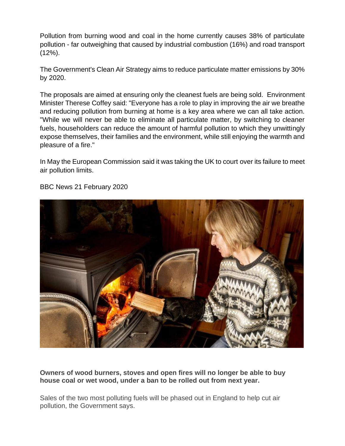Pollution from burning wood and coal in the home currently causes 38% of particulate pollution - far outweighing that caused by industrial combustion (16%) and road transport (12%).

The Government's Clean Air Strategy aims to reduce particulate matter emissions by 30% by 2020.

The proposals are aimed at ensuring only the cleanest fuels are being sold. Environment Minister Therese Coffey said: "Everyone has a role to play in improving the air we breathe and reducing pollution from burning at home is a key area where we can all take action. "While we will never be able to eliminate all particulate matter, by switching to cleaner fuels, householders can reduce the amount of harmful pollution to which they unwittingly expose themselves, their families and the environment, while still enjoying the warmth and pleasure of a fire."

In May the European Commission [said it was taking the UK to court](https://www.bbc.co.uk/news/science-environment-44155590) over its failure to meet air pollution limits.



BBC News 21 February 2020

**Owners of wood burners, stoves and open fires will no longer be able to buy house coal or wet wood, under a ban to be rolled out from next year.**

Sales of the two most polluting fuels will be phased out in England to help cut air pollution, the Government says.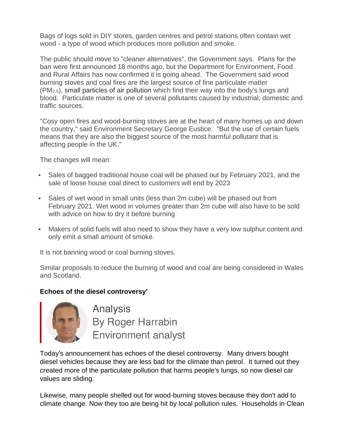Bags of logs sold in DIY stores, garden centres and petrol stations often contain wet wood - a type of wood which produces more pollution and smoke.

The public should move to "cleaner alternatives", the Government says. Plans for the ban were first announced 18 months ago, but the Department for Environment, Food and Rural Affairs has now confirmed it is going ahead. The Government said wood burning stoves and coal fires are the largest source of fine particulate matter (PM2.5), small [particles](https://www.who.int/news-room/fact-sheets/detail/ambient-%28outdoor%29-air-quality-and-health) of air pollution which find their way into the body's lungs and blood. Particulate matter is one of several pollutants caused by industrial, domestic and traffic sources.

"Cosy open fires and wood-burning stoves are at the heart of many homes up and down the country," said Environment Secretary George Eustice. "But the use of certain fuels means that they are also the biggest source of the most harmful pollutant that is affecting people in the UK."

The changes will mean:

- Sales of bagged traditional house coal will be phased out by February 2021, and the sale of loose house coal direct to customers will end by 2023
- Sales of wet wood in small units (less than 2m cube) will be phased out from February 2021. Wet wood in volumes greater than 2m cube will also have to be sold with advice on how to dry it before burning
- **■** Makers of solid fuels will also need to show they have a very low sulphur content and only emit a small amount of smoke.

It is not banning wood or coal burning stoves.

Similar proposals to reduce the burning of wood and coal are being considered in Wales and Scotland.

## **Echoes of the diesel controversy'**



Analysis **By Roger Harrabin Environment analyst** 

Today's announcement has echoes of the diesel controversy. Many drivers bought diesel vehicles because they are less bad for the climate than petrol. It turned out they created more of the particulate pollution that harms people's lungs, so now diesel car values are sliding.

Likewise, many people shelled out for wood-burning stoves because they don't add to climate change. Now they too are being hit by local pollution rules. Households in Clean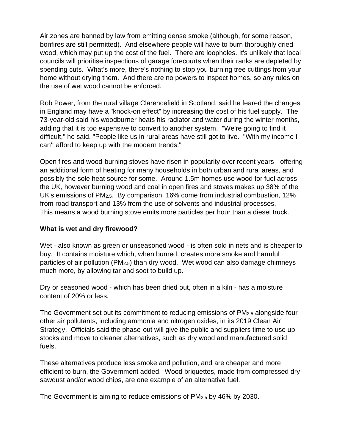Air zones are banned by law from emitting dense smoke (although, for some reason, bonfires are still permitted). And elsewhere people will have to burn thoroughly dried wood, which may put up the cost of the fuel. There are loopholes. It's unlikely that local councils will prioritise inspections of garage forecourts when their ranks are depleted by spending cuts. What's more, there's nothing to stop you burning tree cuttings from your home without drying them. And there are no powers to inspect homes, so any rules on the use of wet wood cannot be enforced.

Rob Power, from the rural village Clarencefield in Scotland, said he feared the changes in England may have a "knock-on effect" by increasing the cost of his fuel supply. The 73-year-old said his woodburner heats his radiator and water during the winter months, adding that it is too expensive to convert to another system. "We're going to find it difficult," he said. "People like us in rural areas have still got to live. "With my income I can't afford to keep up with the modern trends."

Open fires and wood-burning stoves have risen in popularity over recent years - offering an additional form of heating for many households in both urban and rural areas, and possibly the sole heat source for some. Around 1.5m homes use wood for fuel across the UK, however burning wood and coal in open fires and stoves makes up 38% of the UK's emissions of PM2.5. By comparison, 16% come from industrial combustion, 12% from road transport and 13% from the use of solvents and industrial processes. This means a wood burning stove [emits more particles per hour than a diesel truck.](https://www.bbc.co.uk/news/science-environment-46823440)

## **What is wet and dry firewood?**

Wet - also known as green or unseasoned wood - is often sold in nets and is cheaper to buy. It contains moisture which, when burned, creates more smoke and harmful particles of air pollution (PM2.5) than dry wood. Wet wood can also damage chimneys much more, by allowing tar and soot to build up.

Dry or seasoned wood - which has been dried out, often in a kiln - has a moisture content of 20% or less.

The Government set out its commitment to reducing emissions of PM2.5 alongside four other air pollutants, including ammonia and nitrogen oxides, in its 2019 Clean Air Strategy. Officials said the phase-out will give the public and suppliers time to use up stocks and move to cleaner alternatives, such as dry wood and manufactured solid fuels.

These alternatives produce less smoke and pollution, and are cheaper and more efficient to burn, the Government added. Wood briquettes, made from compressed dry sawdust and/or wood chips, are one example of an alternative fuel.

The Government is aiming to reduce emissions of PM2.5 by 46% by 2030.